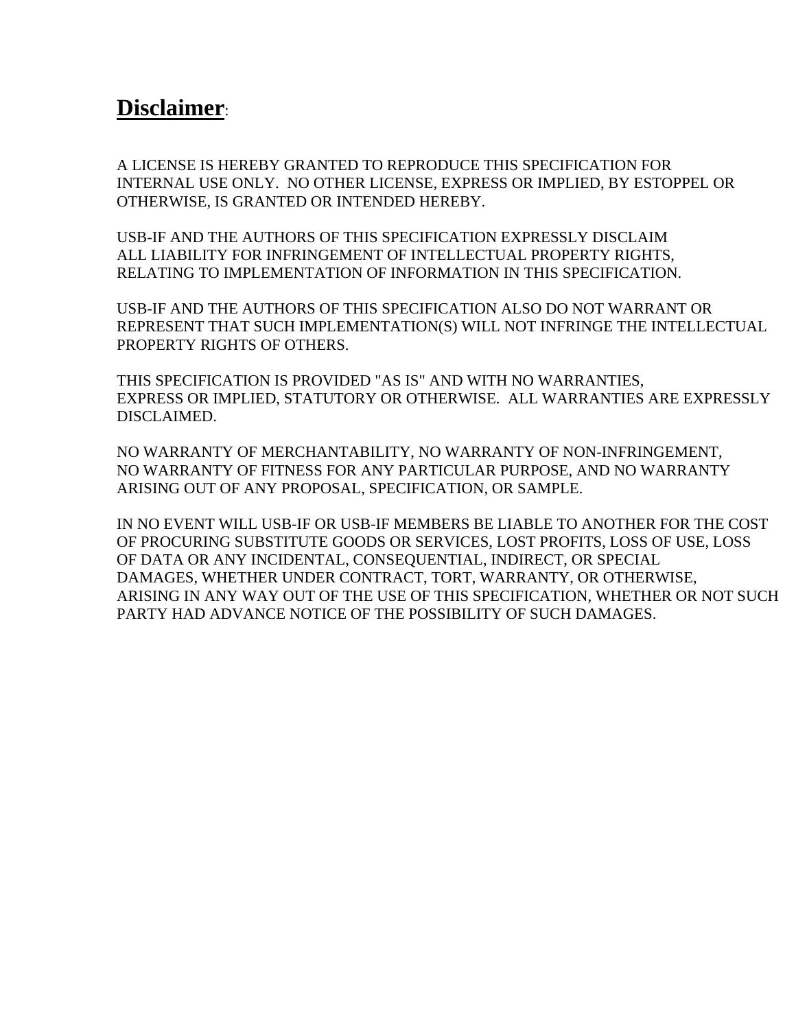## **Disclaimer**:

A LICENSE IS HEREBY GRANTED TO REPRODUCE THIS SPECIFICATION FOR INTERNAL USE ONLY. NO OTHER LICENSE, EXPRESS OR IMPLIED, BY ESTOPPEL OR OTHERWISE, IS GRANTED OR INTENDED HEREBY.

USB-IF AND THE AUTHORS OF THIS SPECIFICATION EXPRESSLY DISCLAIM ALL LIABILITY FOR INFRINGEMENT OF INTELLECTUAL PROPERTY RIGHTS, RELATING TO IMPLEMENTATION OF INFORMATION IN THIS SPECIFICATION.

USB-IF AND THE AUTHORS OF THIS SPECIFICATION ALSO DO NOT WARRANT OR REPRESENT THAT SUCH IMPLEMENTATION(S) WILL NOT INFRINGE THE INTELLECTUAL PROPERTY RIGHTS OF OTHERS.

THIS SPECIFICATION IS PROVIDED "AS IS" AND WITH NO WARRANTIES, EXPRESS OR IMPLIED, STATUTORY OR OTHERWISE. ALL WARRANTIES ARE EXPRESSLY DISCLAIMED.

NO WARRANTY OF MERCHANTABILITY, NO WARRANTY OF NON-INFRINGEMENT, NO WARRANTY OF FITNESS FOR ANY PARTICULAR PURPOSE, AND NO WARRANTY ARISING OUT OF ANY PROPOSAL, SPECIFICATION, OR SAMPLE.

IN NO EVENT WILL USB-IF OR USB-IF MEMBERS BE LIABLE TO ANOTHER FOR THE COST OF PROCURING SUBSTITUTE GOODS OR SERVICES, LOST PROFITS, LOSS OF USE, LOSS OF DATA OR ANY INCIDENTAL, CONSEQUENTIAL, INDIRECT, OR SPECIAL DAMAGES, WHETHER UNDER CONTRACT, TORT, WARRANTY, OR OTHERWISE, ARISING IN ANY WAY OUT OF THE USE OF THIS SPECIFICATION, WHETHER OR NOT SUCH PARTY HAD ADVANCE NOTICE OF THE POSSIBILITY OF SUCH DAMAGES.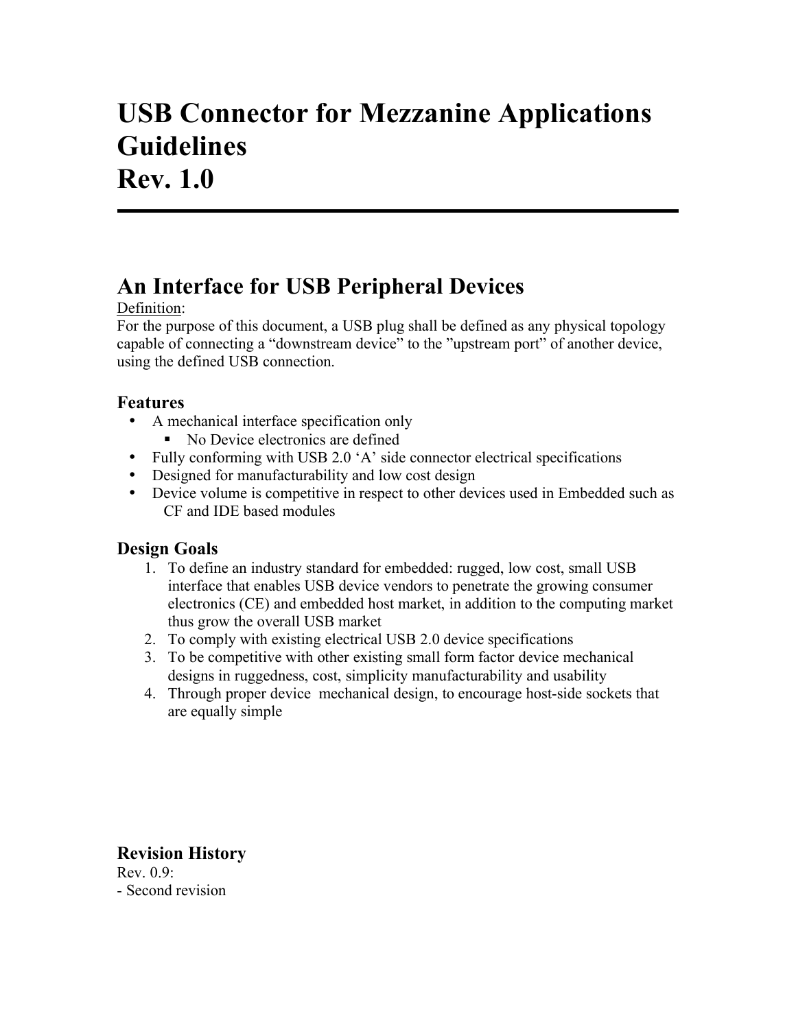# **USB Connector for Mezzanine Applications Guidelines Rev. 1.0**

# **An Interface for USB Peripheral Devices**

#### Definition:

For the purpose of this document, a USB plug shall be defined as any physical topology capable of connecting a "downstream device" to the "upstream port" of another device, using the defined USB connection.

### **Features**

- A mechanical interface specification only
	- No Device electronics are defined
- Fully conforming with USB 2.0 'A' side connector electrical specifications
- Designed for manufacturability and low cost design
- Device volume is competitive in respect to other devices used in Embedded such as CF and IDE based modules

## **Design Goals**

- 1. To define an industry standard for embedded: rugged, low cost, small USB interface that enables USB device vendors to penetrate the growing consumer electronics (CE) and embedded host market, in addition to the computing market thus grow the overall USB market
- 2. To comply with existing electrical USB 2.0 device specifications
- 3. To be competitive with other existing small form factor device mechanical designs in ruggedness, cost, simplicity manufacturability and usability
- 4. Through proper device mechanical design, to encourage host-side sockets that are equally simple

**Revision History**  Rev. 0.9: - Second revision